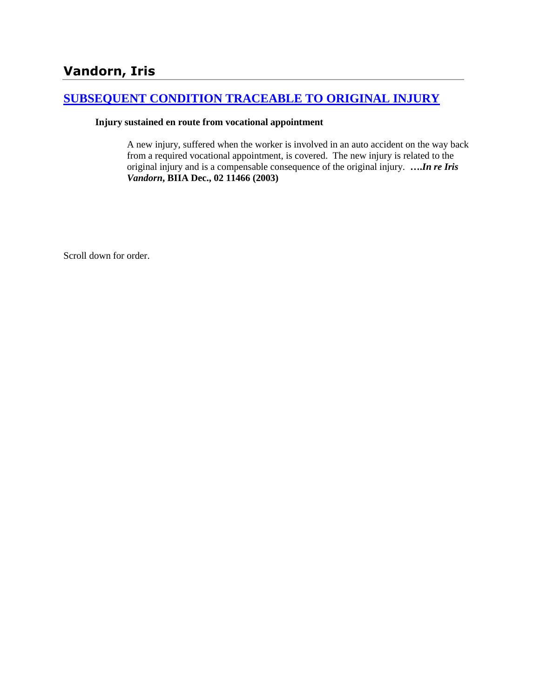# **[SUBSEQUENT CONDITION TRACEABLE TO ORIGINAL INJURY](http://www.biia.wa.gov/SDSubjectIndex.html#SUBSEQUENT_CONDITION_TRACEABLE_TO_ORIGINAL_INJURY)**

#### **Injury sustained en route from vocational appointment**

A new injury, suffered when the worker is involved in an auto accident on the way back from a required vocational appointment, is covered. The new injury is related to the original injury and is a compensable consequence of the original injury. **….***In re Iris Vandorn***, BIIA Dec., 02 11466 (2003)**

Scroll down for order.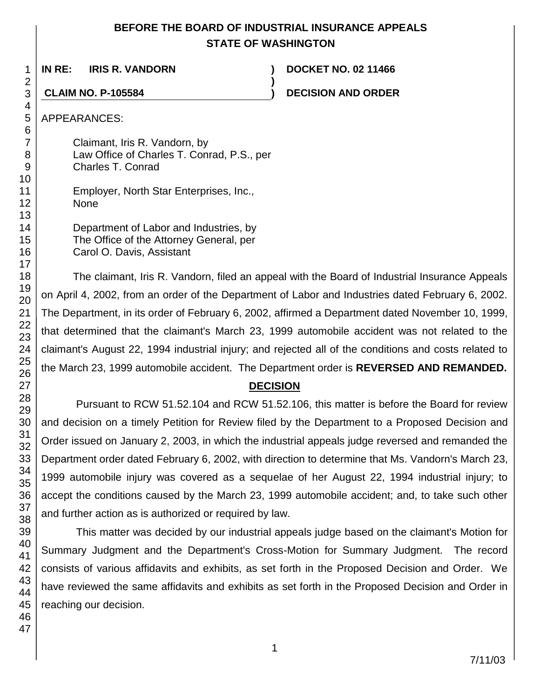# **BEFORE THE BOARD OF INDUSTRIAL INSURANCE APPEALS STATE OF WASHINGTON**

**)**

**IN RE: IRIS R. VANDORN ) DOCKET NO. 02 11466**

**CLAIM NO. P-105584 ) DECISION AND ORDER** 

APPEARANCES:

Claimant, Iris R. Vandorn, by Law Office of Charles T. Conrad, P.S., per Charles T. Conrad

Employer, North Star Enterprises, Inc., None

Department of Labor and Industries, by The Office of the Attorney General, per Carol O. Davis, Assistant

The claimant, Iris R. Vandorn, filed an appeal with the Board of Industrial Insurance Appeals on April 4, 2002, from an order of the Department of Labor and Industries dated February 6, 2002. The Department, in its order of February 6, 2002, affirmed a Department dated November 10, 1999, that determined that the claimant's March 23, 1999 automobile accident was not related to the claimant's August 22, 1994 industrial injury; and rejected all of the conditions and costs related to the March 23, 1999 automobile accident. The Department order is **REVERSED AND REMANDED.**

# **DECISION**

Pursuant to RCW 51.52.104 and RCW 51.52.106, this matter is before the Board for review and decision on a timely Petition for Review filed by the Department to a Proposed Decision and Order issued on January 2, 2003, in which the industrial appeals judge reversed and remanded the Department order dated February 6, 2002, with direction to determine that Ms. Vandorn's March 23, 1999 automobile injury was covered as a sequelae of her August 22, 1994 industrial injury; to accept the conditions caused by the March 23, 1999 automobile accident; and, to take such other and further action as is authorized or required by law.

This matter was decided by our industrial appeals judge based on the claimant's Motion for Summary Judgment and the Department's Cross-Motion for Summary Judgment. The record consists of various affidavits and exhibits, as set forth in the Proposed Decision and Order. We have reviewed the same affidavits and exhibits as set forth in the Proposed Decision and Order in reaching our decision.

1 2 3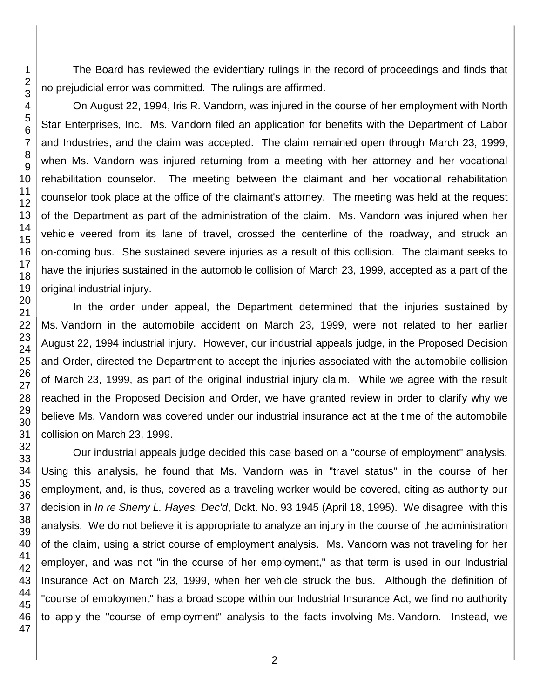The Board has reviewed the evidentiary rulings in the record of proceedings and finds that no prejudicial error was committed. The rulings are affirmed.

On August 22, 1994, Iris R. Vandorn, was injured in the course of her employment with North Star Enterprises, Inc. Ms. Vandorn filed an application for benefits with the Department of Labor and Industries, and the claim was accepted. The claim remained open through March 23, 1999, when Ms. Vandorn was injured returning from a meeting with her attorney and her vocational rehabilitation counselor. The meeting between the claimant and her vocational rehabilitation counselor took place at the office of the claimant's attorney. The meeting was held at the request of the Department as part of the administration of the claim. Ms. Vandorn was injured when her vehicle veered from its lane of travel, crossed the centerline of the roadway, and struck an on-coming bus. She sustained severe injuries as a result of this collision. The claimant seeks to have the injuries sustained in the automobile collision of March 23, 1999, accepted as a part of the original industrial injury.

In the order under appeal, the Department determined that the injuries sustained by Ms. Vandorn in the automobile accident on March 23, 1999, were not related to her earlier August 22, 1994 industrial injury. However, our industrial appeals judge, in the Proposed Decision and Order, directed the Department to accept the injuries associated with the automobile collision of March 23, 1999, as part of the original industrial injury claim. While we agree with the result reached in the Proposed Decision and Order, we have granted review in order to clarify why we believe Ms. Vandorn was covered under our industrial insurance act at the time of the automobile collision on March 23, 1999.

Our industrial appeals judge decided this case based on a "course of employment" analysis. Using this analysis, he found that Ms. Vandorn was in "travel status" in the course of her employment, and, is thus, covered as a traveling worker would be covered, citing as authority our decision in *In re Sherry L. Hayes, Dec'd*, Dckt. No. 93 1945 (April 18, 1995). We disagree with this analysis. We do not believe it is appropriate to analyze an injury in the course of the administration of the claim, using a strict course of employment analysis. Ms. Vandorn was not traveling for her employer, and was not "in the course of her employment," as that term is used in our Industrial Insurance Act on March 23, 1999, when her vehicle struck the bus. Although the definition of "course of employment" has a broad scope within our Industrial Insurance Act, we find no authority to apply the "course of employment" analysis to the facts involving Ms. Vandorn. Instead, we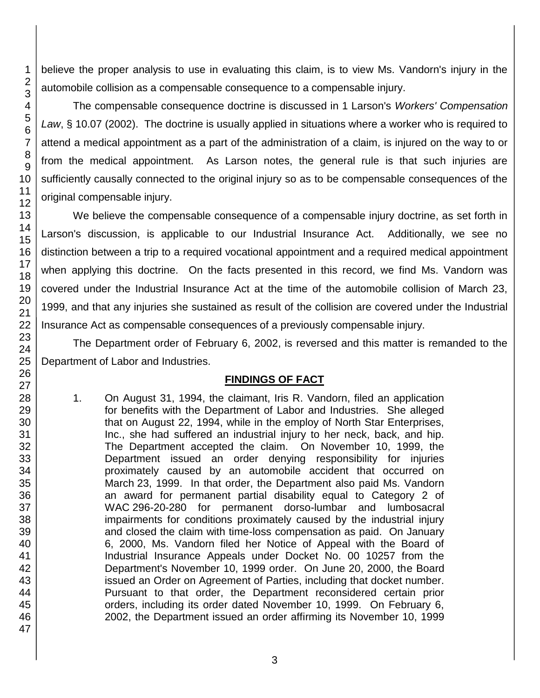believe the proper analysis to use in evaluating this claim, is to view Ms. Vandorn's injury in the automobile collision as a compensable consequence to a compensable injury.

The compensable consequence doctrine is discussed in 1 Larson's *Workers' Compensation Law*, § 10.07 (2002). The doctrine is usually applied in situations where a worker who is required to attend a medical appointment as a part of the administration of a claim, is injured on the way to or from the medical appointment. As Larson notes, the general rule is that such injuries are sufficiently causally connected to the original injury so as to be compensable consequences of the original compensable injury.

We believe the compensable consequence of a compensable injury doctrine, as set forth in Larson's discussion, is applicable to our Industrial Insurance Act. Additionally, we see no distinction between a trip to a required vocational appointment and a required medical appointment when applying this doctrine. On the facts presented in this record, we find Ms. Vandorn was covered under the Industrial Insurance Act at the time of the automobile collision of March 23, 1999, and that any injuries she sustained as result of the collision are covered under the Industrial Insurance Act as compensable consequences of a previously compensable injury.

The Department order of February 6, 2002, is reversed and this matter is remanded to the Department of Labor and Industries.

## **FINDINGS OF FACT**

1. On August 31, 1994, the claimant, Iris R. Vandorn, filed an application for benefits with the Department of Labor and Industries. She alleged that on August 22, 1994, while in the employ of North Star Enterprises, Inc., she had suffered an industrial injury to her neck, back, and hip. The Department accepted the claim. On November 10, 1999, the Department issued an order denying responsibility for injuries proximately caused by an automobile accident that occurred on March 23, 1999. In that order, the Department also paid Ms. Vandorn an award for permanent partial disability equal to Category 2 of WAC 296-20-280 for permanent dorso-lumbar and lumbosacral impairments for conditions proximately caused by the industrial injury and closed the claim with time-loss compensation as paid. On January 6, 2000, Ms. Vandorn filed her Notice of Appeal with the Board of Industrial Insurance Appeals under Docket No. 00 10257 from the Department's November 10, 1999 order. On June 20, 2000, the Board issued an Order on Agreement of Parties, including that docket number. Pursuant to that order, the Department reconsidered certain prior orders, including its order dated November 10, 1999. On February 6, 2002, the Department issued an order affirming its November 10, 1999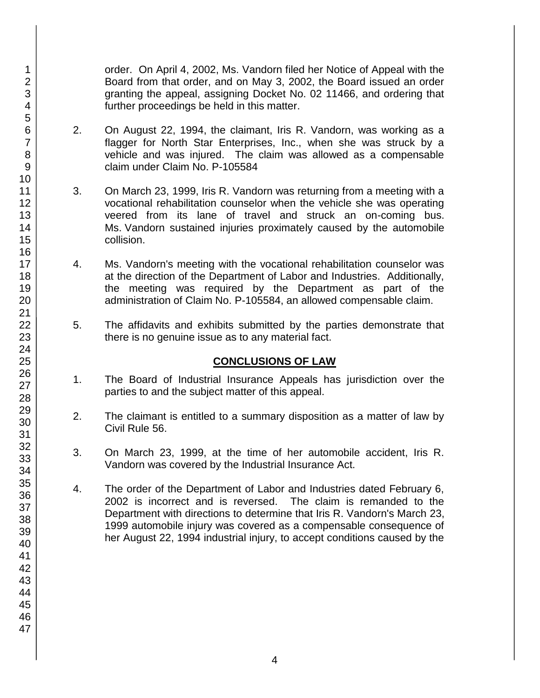order. On April 4, 2002, Ms. Vandorn filed her Notice of Appeal with the Board from that order, and on May 3, 2002, the Board issued an order granting the appeal, assigning Docket No. 02 11466, and ordering that further proceedings be held in this matter.

- 2. On August 22, 1994, the claimant, Iris R. Vandorn, was working as a flagger for North Star Enterprises, Inc., when she was struck by a vehicle and was injured. The claim was allowed as a compensable claim under Claim No. P-105584
- 3. On March 23, 1999, Iris R. Vandorn was returning from a meeting with a vocational rehabilitation counselor when the vehicle she was operating veered from its lane of travel and struck an on-coming bus. Ms. Vandorn sustained injuries proximately caused by the automobile collision.
- 4. Ms. Vandorn's meeting with the vocational rehabilitation counselor was at the direction of the Department of Labor and Industries. Additionally, the meeting was required by the Department as part of the administration of Claim No. P-105584, an allowed compensable claim.
- 5. The affidavits and exhibits submitted by the parties demonstrate that there is no genuine issue as to any material fact.

## **CONCLUSIONS OF LAW**

- 1. The Board of Industrial Insurance Appeals has jurisdiction over the parties to and the subject matter of this appeal.
- 2. The claimant is entitled to a summary disposition as a matter of law by Civil Rule 56.
- 3. On March 23, 1999, at the time of her automobile accident, Iris R. Vandorn was covered by the Industrial Insurance Act.
- 4. The order of the Department of Labor and Industries dated February 6, 2002 is incorrect and is reversed. The claim is remanded to the Department with directions to determine that Iris R. Vandorn's March 23, 1999 automobile injury was covered as a compensable consequence of her August 22, 1994 industrial injury, to accept conditions caused by the